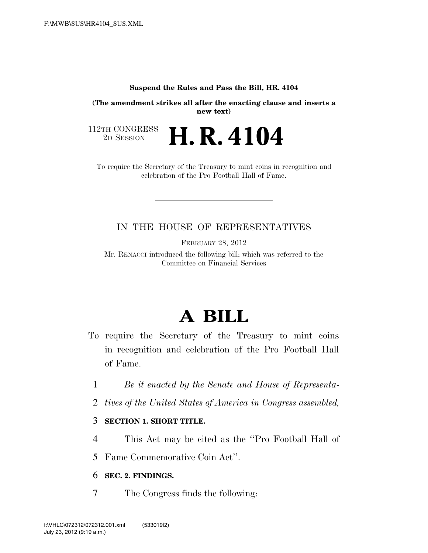#### **Suspend the Rules and Pass the Bill, HR. 4104**

**(The amendment strikes all after the enacting clause and inserts a new text)**

112TH CONGRESS<br>2D SESSION 2D SESSION **H. R. 4104**

To require the Secretary of the Treasury to mint coins in recognition and celebration of the Pro Football Hall of Fame.

# IN THE HOUSE OF REPRESENTATIVES

FEBRUARY 28, 2012

Mr. RENACCI introduced the following bill; which was referred to the Committee on Financial Services

# **A BILL**

- To require the Secretary of the Treasury to mint coins in recognition and celebration of the Pro Football Hall of Fame.
	- 1 *Be it enacted by the Senate and House of Representa-*
	- 2 *tives of the United States of America in Congress assembled,*

#### 3 **SECTION 1. SHORT TITLE.**

- 4 This Act may be cited as the ''Pro Football Hall of
- 5 Fame Commemorative Coin Act''.

# 6 **SEC. 2. FINDINGS.**

7 The Congress finds the following: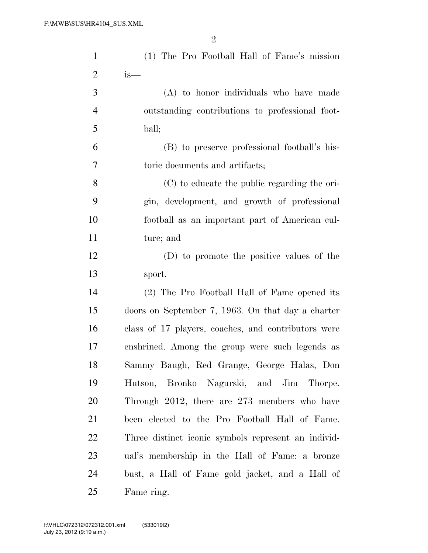| $\mathbf{1}$   | (1) The Pro Football Hall of Fame's mission         |
|----------------|-----------------------------------------------------|
| $\overline{2}$ | is—                                                 |
| 3              | (A) to honor individuals who have made              |
| $\overline{4}$ | outstanding contributions to professional foot-     |
| 5              | ball;                                               |
| 6              | (B) to preserve professional football's his-        |
| 7              | toric documents and artifacts;                      |
| 8              | (C) to educate the public regarding the ori-        |
| 9              | gin, development, and growth of professional        |
| 10             | football as an important part of American cul-      |
| 11             | ture; and                                           |
| 12             | (D) to promote the positive values of the           |
| 13             | sport.                                              |
| 14             | (2) The Pro Football Hall of Fame opened its        |
| 15             | doors on September 7, 1963. On that day a charter   |
| 16             | class of 17 players, coaches, and contributors were |
| 17             | enshrined. Among the group were such legends as     |
| 18             | Sammy Baugh, Red Grange, George Halas, Don          |
| 19             | Hutson, Bronko Nagurski, and Jim Thorpe.            |
| 20             | Through 2012, there are 273 members who have        |
| 21             | been elected to the Pro Football Hall of Fame.      |
| 22             | Three distinct iconic symbols represent an individ- |
| 23             | ual's membership in the Hall of Fame: a bronze      |
| 24             | bust, a Hall of Fame gold jacket, and a Hall of     |
| 25             | Fame ring.                                          |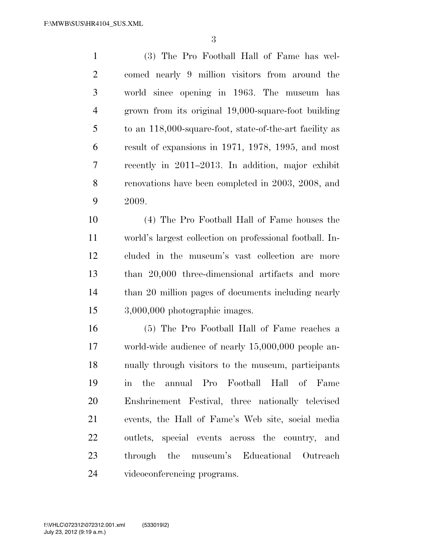(3) The Pro Football Hall of Fame has wel- comed nearly 9 million visitors from around the world since opening in 1963. The museum has grown from its original 19,000-square-foot building to an 118,000-square-foot, state-of-the-art facility as result of expansions in 1971, 1978, 1995, and most recently in 2011–2013. In addition, major exhibit renovations have been completed in 2003, 2008, and 2009.

 (4) The Pro Football Hall of Fame houses the world's largest collection on professional football. In- cluded in the museum's vast collection are more than 20,000 three-dimensional artifacts and more than 20 million pages of documents including nearly 3,000,000 photographic images.

 (5) The Pro Football Hall of Fame reaches a world-wide audience of nearly 15,000,000 people an- nually through visitors to the museum, participants in the annual Pro Football Hall of Fame Enshrinement Festival, three nationally televised events, the Hall of Fame's Web site, social media outlets, special events across the country, and through the museum's Educational Outreach videoconferencing programs.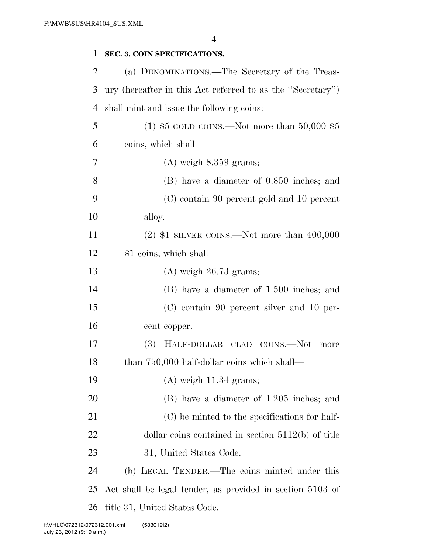| $\mathbf{1}$   | SEC. 3. COIN SPECIFICATIONS.                               |
|----------------|------------------------------------------------------------|
| 2              | (a) DENOMINATIONS.—The Secretary of the Treas-             |
| 3              | ury (hereafter in this Act referred to as the "Secretary") |
| $\overline{4}$ | shall mint and issue the following coins:                  |
| 5              | (1) $$5$ GOLD COINS.—Not more than 50,000 $$5$             |
| 6              | coins, which shall—                                        |
| 7              | $(A)$ weigh $8.359$ grams;                                 |
| 8              | (B) have a diameter of 0.850 inches; and                   |
| 9              | (C) contain 90 percent gold and 10 percent                 |
| 10             | alloy.                                                     |
| 11             | $(2)$ \$1 SILVER COINS.—Not more than 400,000              |
| 12             | \$1 coins, which shall—                                    |
| 13             | $(A)$ weigh 26.73 grams;                                   |
| 14             | (B) have a diameter of 1.500 inches; and                   |
| 15             | (C) contain 90 percent silver and 10 per-                  |
| 16             | cent copper.                                               |
| 17             | HALF-DOLLAR CLAD COINS.—Not<br>(3)<br>more                 |
| 18             | than 750,000 half-dollar coins which shall—                |
| 19             | $(A)$ weigh 11.34 grams;                                   |
| 20             | (B) have a diameter of 1.205 inches; and                   |
| 21             | (C) be minted to the specifications for half-              |
| 22             | dollar coins contained in section $5112(b)$ of title       |
| 23             | 31, United States Code.                                    |
| 24             | (b) LEGAL TENDER.—The coins minted under this              |
| 25             | Act shall be legal tender, as provided in section 5103 of  |
| 26             | title 31, United States Code.                              |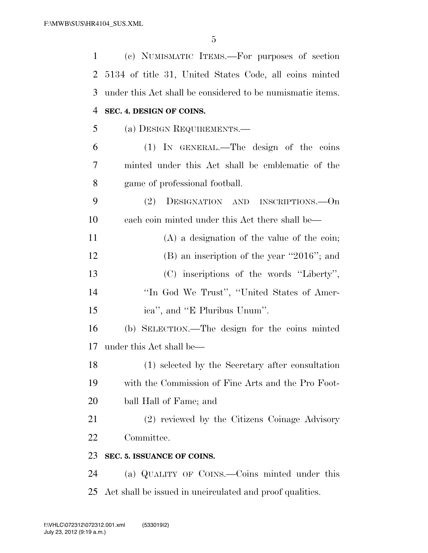| 1  | (c) NUMISMATIC ITEMS.—For purposes of section              |
|----|------------------------------------------------------------|
| 2  | 5134 of title 31, United States Code, all coins minted     |
| 3  | under this Act shall be considered to be numismatic items. |
| 4  | SEC. 4. DESIGN OF COINS.                                   |
| 5  | (a) DESIGN REQUIREMENTS.—                                  |
| 6  | (1) IN GENERAL.—The design of the coins                    |
| 7  | minted under this Act shall be emblematic of the           |
| 8  | game of professional football.                             |
| 9  | (2)<br>DESIGNATION AND INSCRIPTIONS.—On                    |
| 10 | each coin minted under this Act there shall be—            |
| 11 | $(A)$ a designation of the value of the coin;              |
| 12 | $(B)$ an inscription of the year "2016"; and               |
| 13 | (C) inscriptions of the words "Liberty",                   |
| 14 | "In God We Trust", "United States of Amer-                 |
| 15 | ica", and "E Pluribus Unum".                               |
| 16 | (b) SELECTION.—The design for the coins minted             |
| 17 | under this Act shall be—                                   |
| 18 | (1) selected by the Secretary after consultation           |
| 19 | with the Commission of Fine Arts and the Pro Foot-         |
| 20 | ball Hall of Fame; and                                     |
| 21 | (2) reviewed by the Citizens Coinage Advisory              |
| 22 | Committee.                                                 |
| 23 | SEC. 5. ISSUANCE OF COINS.                                 |
| 24 | (a) QUALITY OF COINS.—Coins minted under this              |
| 25 | Act shall be issued in uncirculated and proof qualities.   |
|    |                                                            |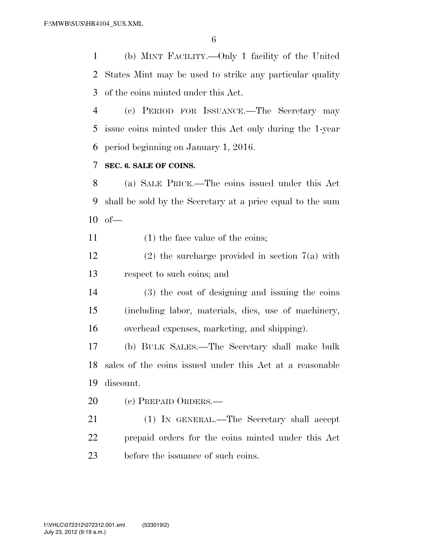(b) MINT FACILITY.—Only 1 facility of the United States Mint may be used to strike any particular quality of the coins minted under this Act.

 (c) PERIOD FOR ISSUANCE.—The Secretary may issue coins minted under this Act only during the 1-year period beginning on January 1, 2016.

#### **SEC. 6. SALE OF COINS.**

 (a) SALE PRICE.—The coins issued under this Act shall be sold by the Secretary at a price equal to the sum of—

11 (1) the face value of the coins;

12 (2) the surcharge provided in section  $7(a)$  with respect to such coins; and

 (3) the cost of designing and issuing the coins (including labor, materials, dies, use of machinery, overhead expenses, marketing, and shipping).

 (b) BULK SALES.—The Secretary shall make bulk sales of the coins issued under this Act at a reasonable discount.

20 (c) PREPAID ORDERS.—

 (1) IN GENERAL.—The Secretary shall accept prepaid orders for the coins minted under this Act before the issuance of such coins.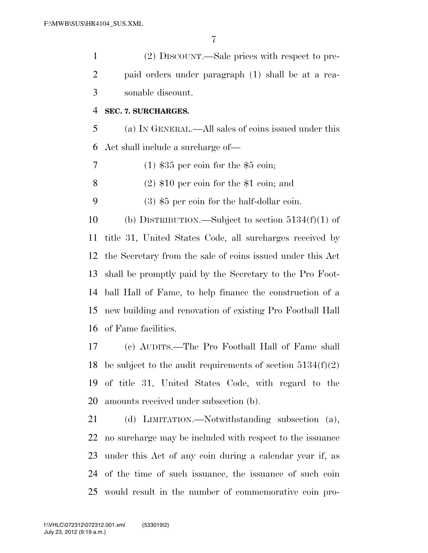(2) DISCOUNT.—Sale prices with respect to pre- paid orders under paragraph (1) shall be at a rea-sonable discount.

#### **SEC. 7. SURCHARGES.**

 (a) IN GENERAL.—All sales of coins issued under this Act shall include a surcharge of—

(1) \$35 per coin for the \$5 coin;

8 (2)  $$10$  per coin for the \$1 coin; and

(3) \$5 per coin for the half-dollar coin.

 (b) DISTRIBUTION.—Subject to section 5134(f)(1) of title 31, United States Code, all surcharges received by the Secretary from the sale of coins issued under this Act shall be promptly paid by the Secretary to the Pro Foot- ball Hall of Fame, to help finance the construction of a new building and renovation of existing Pro Football Hall of Fame facilities.

 (c) AUDITS.—The Pro Football Hall of Fame shall 18 be subject to the audit requirements of section  $5134(f)(2)$  of title 31, United States Code, with regard to the amounts received under subsection (b).

 (d) LIMITATION.—Notwithstanding subsection (a), no surcharge may be included with respect to the issuance under this Act of any coin during a calendar year if, as of the time of such issuance, the issuance of such coin would result in the number of commemorative coin pro-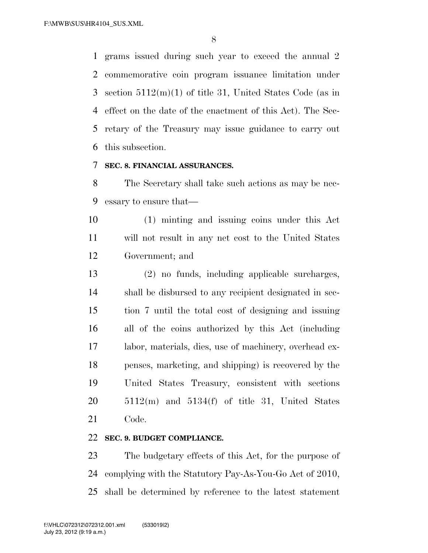grams issued during such year to exceed the annual 2 commemorative coin program issuance limitation under section 5112(m)(1) of title 31, United States Code (as in effect on the date of the enactment of this Act). The Sec- retary of the Treasury may issue guidance to carry out this subsection.

## **SEC. 8. FINANCIAL ASSURANCES.**

 The Secretary shall take such actions as may be nec-essary to ensure that—

 (1) minting and issuing coins under this Act will not result in any net cost to the United States Government; and

 (2) no funds, including applicable surcharges, shall be disbursed to any recipient designated in sec- tion 7 until the total cost of designing and issuing all of the coins authorized by this Act (including labor, materials, dies, use of machinery, overhead ex- penses, marketing, and shipping) is recovered by the United States Treasury, consistent with sections  $20 \qquad 5112(m)$  and  $5134(f)$  of title 31, United States Code.

## **SEC. 9. BUDGET COMPLIANCE.**

 The budgetary effects of this Act, for the purpose of complying with the Statutory Pay-As-You-Go Act of 2010, shall be determined by reference to the latest statement